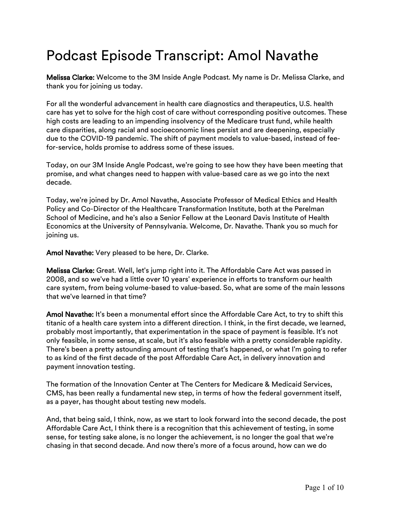## Podcast Episode Transcript: Amol Navathe

Melissa Clarke: Welcome to the 3M Inside Angle Podcast. My name is Dr. Melissa Clarke, and thank you for joining us today.

For all the wonderful advancement in health care diagnostics and therapeutics, U.S. health care has yet to solve for the high cost of care without corresponding positive outcomes. These high costs are leading to an impending insolvency of the Medicare trust fund, while health care disparities, along racial and socioeconomic lines persist and are deepening, especially due to the COVID-19 pandemic. The shift of payment models to value-based, instead of feefor-service, holds promise to address some of these issues.

Today, on our 3M Inside Angle Podcast, we're going to see how they have been meeting that promise, and what changes need to happen with value-based care as we go into the next decade.

Today, we're joined by Dr. Amol Navathe, Associate Professor of Medical Ethics and Health Policy and Co-Director of the Healthcare Transformation Institute, both at the Perelman [School of Medicine, and he's also a Senior Fellow at the Leonard Davis Institute of Healt](https://www.med.upenn.edu/cpx/our-work.html)h [Economics at the University of Pennsylvania. Welcome, Dr. Navathe. Thank you so much f](https://chibe.upenn.edu/about/leonard-davis-institute/)or joining us.

Amol Navathe: Very pleased to be here, Dr. Clarke.

Melissa Clarke: Great. Well, let's jump right into it. The Affordable Care Act was passed in 2008, and so we've had a little over 10 years' experience in efforts to transform our health care system, from being volume-based to value-based. So, what are some of the main lessons that we've learned in that time?

Amol Navathe: It's been a monumental effort since the Affordable Care Act, to try to shift this titanic of a health care system into a different direction. I think, in the first decade, we learned, probably most importantly, that experimentation in the space of payment is feasible. It's not only feasible, in some sense, at scale, but it's also feasible with a pretty considerable rapidity. There's been a pretty astounding amount of testing that's happened, or what I'm going to refer to as kind of the first decade of the post Affordable Care Act, in delivery innovation and payment innovation testing.

The formation of the Innovation Center at The Centers for Medicare & Medicaid Services, CMS, has been really a fundamental new step, in terms of how the federal government itself, as a payer, has thought about testing new models.

And, that being said, I think, now, as we start to look forward into the second decade, the post Affordable Care Act, I think there is a recognition that this achievement of testing, in some sense, for testing sake alone, is no longer the achievement, is no longer the goal that we're chasing in that second decade. And now there's more of a focus around, how can we do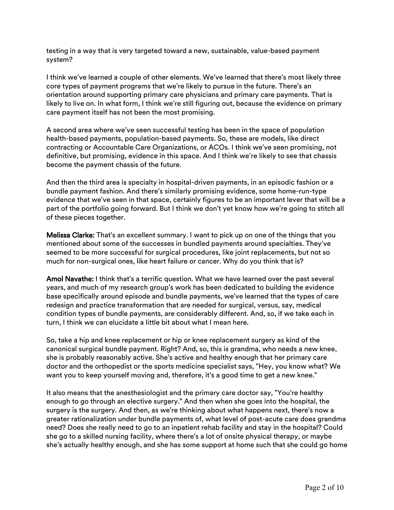testing in a way that is very targeted toward a new, sustainable, value-based payment system?

I think we've learned a couple of other elements. We've learned that there's most likely three core types of payment programs that we're likely to pursue in the future. There's an orientation around supporting primary care physicians and primary care payments. That is likely to live on. In what form, I think we're still figuring out, because the evidence on primary care payment itself has not been the most promising.

A second area where we've seen successful testing has been in the space of population health-based payments, population-based payments. So, these are models, like direct contracting or Accountable Care Organizations, or ACOs. I think we've seen promising, not definitive, but promising, evidence in this space. And I think we're likely to see that chassis become the payment chassis of the future.

And then the third area is specialty in hospital-driven payments, in an episodic fashion or a bundle payment fashion. And there's similarly promising evidence, some home-run-type evidence that we've seen in that space, certainly figures to be an important lever that will be a part of the portfolio going forward. But I think we don't yet know how we're going to stitch all of these pieces together.

Melissa Clarke: That's an excellent summary. I want to pick up on one of the things that you mentioned about some of the successes in bundled payments around specialties. They've seemed to be more successful for surgical procedures, like joint replacements, but not so much for non-surgical ones, like heart failure or cancer. Why do you think that is?

Amol Navathe: I think that's a terrific question. What we have learned over the past several years, and much of my research group's work has been dedicated to building the evidence base specifically around episode and bundle payments, we've learned that the types of care redesign and practice transformation that are needed for surgical, versus, say, medical condition types of bundle payments, are considerably different. And, so, if we take each in turn, I think we can elucidate a little bit about what I mean here.

So, take a hip and knee replacement or hip or knee replacement surgery as kind of the canonical surgical bundle payment. Right? And, so, this is grandma, who needs a new knee, she is probably reasonably active. She's active and healthy enough that her primary care doctor and the orthopedist or the sports medicine specialist says, "Hey, you know what? We want you to keep yourself moving and, therefore, it's a good time to get a new knee."

It also means that the anesthesiologist and the primary care doctor say, "You're healthy enough to go through an elective surgery." And then when she goes into the hospital, the surgery is the surgery. And then, as we're thinking about what happens next, there's now a greater rationalization under bundle payments of, what level of post-acute care does grandma need? Does she really need to go to an inpatient rehab facility and stay in the hospital? Could she go to a skilled nursing facility, where there's a lot of onsite physical therapy, or maybe she's actually healthy enough, and she has some support at home such that she could go home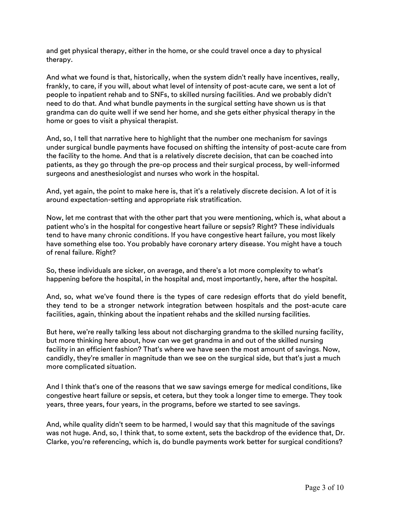and get physical therapy, either in the home, or she could travel once a day to physical therapy.

And what we found is that, historically, when the system didn't really have incentives, really, frankly, to care, if you will, about what level of intensity of post-acute care, we sent a lot of people to inpatient rehab and to SNFs, to skilled nursing facilities. And we probably didn't need to do that. And what bundle payments in the surgical setting have shown us is that grandma can do quite well if we send her home, and she gets either physical therapy in the home or goes to visit a physical therapist.

And, so, I tell that narrative here to highlight that the number one mechanism for savings under surgical bundle payments have focused on shifting the intensity of post-acute care from the facility to the home. And that is a relatively discrete decision, that can be coached into patients, as they go through the pre-op process and their surgical process, by well-informed surgeons and anesthesiologist and nurses who work in the hospital.

And, yet again, the point to make here is, that it's a relatively discrete decision. A lot of it is around expectation-setting and appropriate risk stratification.

Now, let me contrast that with the other part that you were mentioning, which is, what about a patient who's in the hospital for congestive heart failure or sepsis? Right? These individuals tend to have many chronic conditions. If you have congestive heart failure, you most likely have something else too. You probably have coronary artery disease. You might have a touch of renal failure. Right?

So, these individuals are sicker, on average, and there's a lot more complexity to what's happening before the hospital, in the hospital and, most importantly, here, after the hospital.

And, so, what we've found there is the types of care redesign efforts that do yield benefit, they tend to be a stronger network integration between hospitals and the post-acute care facilities, again, thinking about the inpatient rehabs and the skilled nursing facilities.

But here, we're really talking less about not discharging grandma to the skilled nursing facility, but more thinking here about, how can we get grandma in and out of the skilled nursing facility in an efficient fashion? That's where we have seen the most amount of savings. Now, candidly, they're smaller in magnitude than we see on the surgical side, but that's just a much more complicated situation.

And I think that's one of the reasons that we saw savings emerge for medical conditions, like congestive heart failure or sepsis, et cetera, but they took a longer time to emerge. They took years, three years, four years, in the programs, before we started to see savings.

And, while quality didn't seem to be harmed, I would say that this magnitude of the savings was not huge. And, so, I think that, to some extent, sets the backdrop of the evidence that, Dr. Clarke, you're referencing, which is, do bundle payments work better for surgical conditions?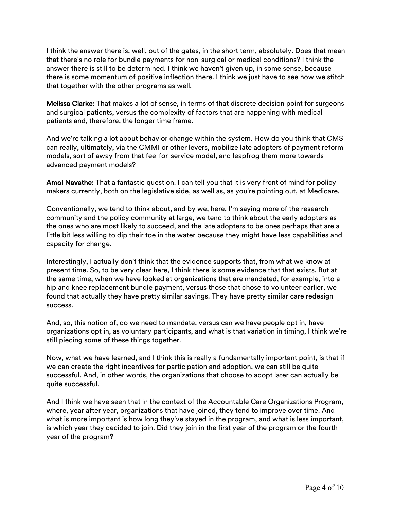I think the answer there is, well, out of the gates, in the short term, absolutely. Does that mean that there's no role for bundle payments for non-surgical or medical conditions? I think the answer there is still to be determined. I think we haven't given up, in some sense, because there is some momentum of positive inflection there. I think we just have to see how we stitch that together with the other programs as well.

Melissa Clarke: That makes a lot of sense, in terms of that discrete decision point for surgeons and surgical patients, versus the complexity of factors that are happening with medical patients and, therefore, the longer time frame.

And we're talking a lot about behavior change within the system. How do you think that CMS can really, ultimately, via the CMMI or other levers, mobilize late adopters of payment reform models, sort of away from that fee-for-service model, and leapfrog them more towards advanced payment models?

Amol Navathe: That a fantastic question. I can tell you that it is very front of mind for policy makers currently, both on the legislative side, as well as, as you're pointing out, at Medicare.

Conventionally, we tend to think about, and by we, here, I'm saying more of the research community and the policy community at large, we tend to think about the early adopters as the ones who are most likely to succeed, and the late adopters to be ones perhaps that are a little bit less willing to dip their toe in the water because they might have less capabilities and capacity for change.

Interestingly, I actually don't think that the evidence supports that, from what we know at present time. So, to be very clear here, I think there is some evidence that that exists. But at the same time, when we have looked at organizations that are mandated, for example, into a hip and knee replacement bundle payment, versus those that chose to volunteer earlier, we found that actually they have pretty similar savings. They have pretty similar care redesign success.

And, so, this notion of, do we need to mandate, versus can we have people opt in, have organizations opt in, as voluntary participants, and what is that variation in timing, I think we're still piecing some of these things together.

Now, what we have learned, and I think this is really a fundamentally important point, is that if we can create the right incentives for participation and adoption, we can still be quite successful. And, in other words, the organizations that choose to adopt later can actually be quite successful.

And I think we have seen that in the context of the Accountable Care Organizations Program, where, year after year, organizations that have joined, they tend to improve over time. And what is more important is how long they've stayed in the program, and what is less important, is which year they decided to join. Did they join in the first year of the program or the fourth year of the program?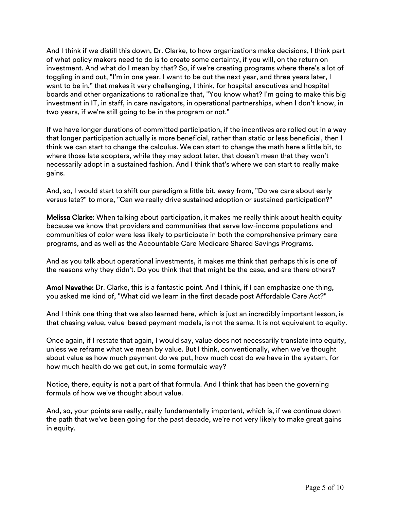And I think if we distill this down, Dr. Clarke, to how organizations make decisions, I think part of what policy makers need to do is to create some certainty, if you will, on the return on investment. And what do I mean by that? So, if we're creating programs where there's a lot of toggling in and out, "I'm in one year. I want to be out the next year, and three years later, I want to be in," that makes it very challenging, I think, for hospital executives and hospital boards and other organizations to rationalize that, "You know what? I'm going to make this big investment in IT, in staff, in care navigators, in operational partnerships, when I don't know, in two years, if we're still going to be in the program or not."

If we have longer durations of committed participation, if the incentives are rolled out in a way that longer participation actually is more beneficial, rather than static or less beneficial, then I think we can start to change the calculus. We can start to change the math here a little bit, to where those late adopters, while they may adopt later, that doesn't mean that they won't necessarily adopt in a sustained fashion. And I think that's where we can start to really make gains.

And, so, I would start to shift our paradigm a little bit, away from, "Do we care about early versus late?" to more, "Can we really drive sustained adoption or sustained participation?"

Melissa Clarke: When talking about participation, it makes me really think about health equity because we know that providers and communities that serve low-income populations and communities of color were less likely to participate in both the comprehensive primary care programs, and as well as the Accountable Care Medicare Shared Savings Programs.

And as you talk about operational investments, it makes me think that perhaps this is one of the reasons why they didn't. Do you think that that might be the case, and are there others?

Amol Navathe: Dr. Clarke, this is a fantastic point. And I think, if I can emphasize one thing, you asked me kind of, "What did we learn in the first decade post Affordable Care Act?"

And I think one thing that we also learned here, which is just an incredibly important lesson, is that chasing value, value-based payment models, is not the same. It is not equivalent to equity.

Once again, if I restate that again, I would say, value does not necessarily translate into equity, unless we reframe what we mean by value. But I think, conventionally, when we've thought about value as how much payment do we put, how much cost do we have in the system, for how much health do we get out, in some formulaic way?

Notice, there, equity is not a part of that formula. And I think that has been the governing formula of how we've thought about value.

And, so, your points are really, really fundamentally important, which is, if we continue down the path that we've been going for the past decade, we're not very likely to make great gains in equity.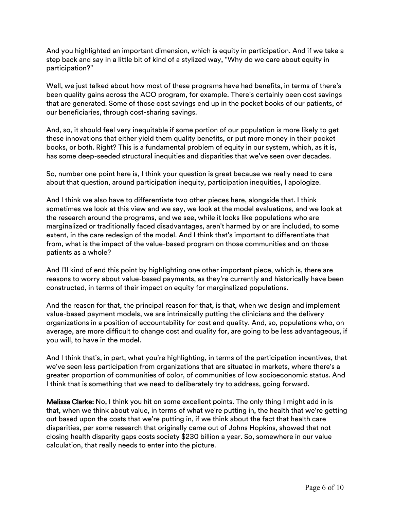And you highlighted an important dimension, which is equity in participation. And if we take a step back and say in a little bit of kind of a stylized way, "Why do we care about equity in participation?"

Well, we just talked about how most of these programs have had benefits, in terms of there's been quality gains across the ACO program, for example. There's certainly been cost savings that are generated. Some of those cost savings end up in the pocket books of our patients, of our beneficiaries, through cost-sharing savings.

And, so, it should feel very inequitable if some portion of our population is more likely to get these innovations that either yield them quality benefits, or put more money in their pocket books, or both. Right? This is a fundamental problem of equity in our system, which, as it is, has some deep-seeded structural inequities and disparities that we've seen over decades.

So, number one point here is, I think your question is great because we really need to care about that question, around participation inequity, participation inequities, I apologize.

And I think we also have to differentiate two other pieces here, alongside that. I think sometimes we look at this view and we say, we look at the model evaluations, and we look at the research around the programs, and we see, while it looks like populations who are marginalized or traditionally faced disadvantages, aren't harmed by or are included, to some extent, in the care redesign of the model. And I think that's important to differentiate that from, what is the impact of the value-based program on those communities and on those patients as a whole?

And I'll kind of end this point by highlighting one other important piece, which is, there are reasons to worry about value-based payments, as they're currently and historically have been constructed, in terms of their impact on equity for marginalized populations.

And the reason for that, the principal reason for that, is that, when we design and implement value-based payment models, we are intrinsically putting the clinicians and the delivery organizations in a position of accountability for cost and quality. And, so, populations who, on average, are more difficult to change cost and quality for, are going to be less advantageous, if you will, to have in the model.

And I think that's, in part, what you're highlighting, in terms of the participation incentives, that we've seen less participation from organizations that are situated in markets, where there's a greater proportion of communities of color, of communities of low socioeconomic status. And I think that is something that we need to deliberately try to address, going forward.

**Melissa Clarke:** No, I think you hit on some excellent points. The only thing I might add in is that, when we think about value, in terms of what we're putting in, the health that we're getting out based upon the costs that we're putting in, if we think about the fact that health care disparities, per some [research that originally came out of Johns Hopkins](https://pubmed.ncbi.nlm.nih.gov/21563622/), showed that not closing health disparity gaps costs society \$230 billion a year. So, somewhere in our value calculation, that really needs to enter into the picture.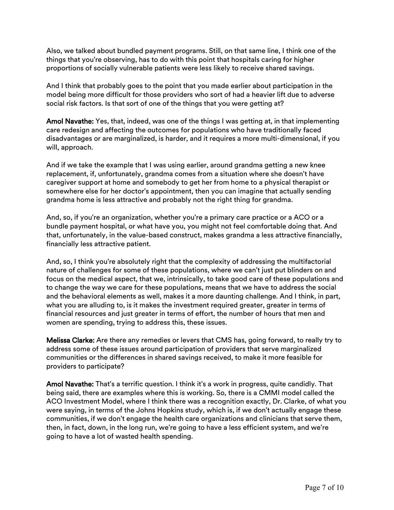Also, we talked about bundled payment programs. Still, on that same line, I think one of the things that you're observing, has to do with this point that hospitals caring for higher proportions of socially vulnerable patients were less likely to receive shared savings.

And I think that probably goes to the point that you made earlier about participation in the model being more difficult for those providers who sort of had a heavier lift due to adverse social risk factors. Is that sort of one of the things that you were getting at?

Amol Navathe: Yes, that, indeed, was one of the things I was getting at, in that implementing care redesign and affecting the outcomes for populations who have traditionally faced disadvantages or are marginalized, is harder, and it requires a more multi-dimensional, if you will, approach.

And if we take the example that I was using earlier, around grandma getting a new knee replacement, if, unfortunately, grandma comes from a situation where she doesn't have caregiver support at home and somebody to get her from home to a physical therapist or somewhere else for her doctor's appointment, then you can imagine that actually sending grandma home is less attractive and probably not the right thing for grandma.

And, so, if you're an organization, whether you're a primary care practice or a ACO or a bundle payment hospital, or what have you, you might not feel comfortable doing that. And that, unfortunately, in the value-based construct, makes grandma a less attractive financially, financially less attractive patient.

And, so, I think you're absolutely right that the complexity of addressing the multifactorial nature of challenges for some of these populations, where we can't just put blinders on and focus on the medical aspect, that we, intrinsically, to take good care of these populations and to change the way we care for these populations, means that we have to address the social and the behavioral elements as well, makes it a more daunting challenge. And I think, in part, what you are alluding to, is it makes the investment required greater, greater in terms of financial resources and just greater in terms of effort, the number of hours that men and women are spending, trying to address this, these issues.

Melissa Clarke: Are there any remedies or levers that CMS has, going forward, to really try to address some of these issues around participation of providers that serve marginalized communities or the differences in shared savings received, to make it more feasible for providers to participate?

Amol Navathe: That's a terrific question. I think it's a work in progress, quite candidly. That being said, there are examples where this is working. So, there is a CMMI model called the ACO Investment Model, where I think there was a recognition exactly, Dr. Clarke, of what you were saying, in terms of the Johns Hopkins study, which is, if we don't actually engage these communities, if we don't engage the health care organizations and clinicians that serve them, then, in fact, down, in the long run, we're going to have a less efficient system, and we're going to have a lot of wasted health spending.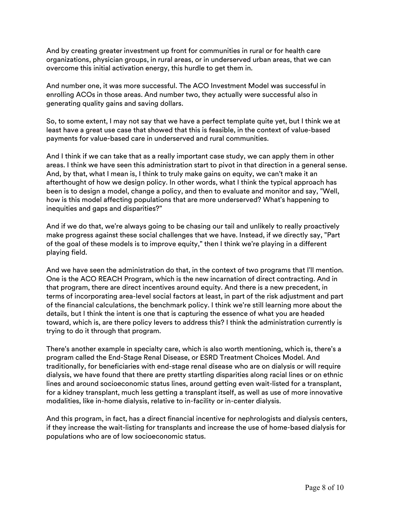And by creating greater investment up front for communities in rural or for health care organizations, physician groups, in rural areas, or in underserved urban areas, that we can overcome this initial activation energy, this hurdle to get them in.

And number one, it was more successful. The ACO Investment Model was successful in enrolling ACOs in those areas. And number two, they actually were successful also in generating quality gains and saving dollars.

So, to some extent, I may not say that we have a perfect template quite yet, but I think we at least have a great use case that showed that this is feasible, in the context of value-based payments for value-based care in underserved and rural communities.

And I think if we can take that as a really important case study, we can apply them in other areas. I think we have seen this administration start to pivot in that direction in a general sense. And, by that, what I mean is, I think to truly make gains on equity, we can't make it an afterthought of how we design policy. In other words, what I think the typical approach has been is to design a model, change a policy, and then to evaluate and monitor and say, "Well, how is this model affecting populations that are more underserved? What's happening to inequities and gaps and disparities?"

And if we do that, we're always going to be chasing our tail and unlikely to really proactively make progress against these social challenges that we have. Instead, if we directly say, "Part of the goal of these models is to improve equity," then I think we're playing in a different playing field.

And we have seen the administration do that, in the context of two programs that I'll mention. One is the ACO REACH Program, which is the new incarnation of direct contracting. And in that program, there are direct incentives around equity. And there is a new precedent, in terms of incorporating area-level social factors at least, in part of the risk adjustment and part of the financial calculations, the benchmark policy. I think we're still learning more about the details, but I think the intent is one that is capturing the essence of what you are headed toward, which is, are there policy levers to address this? I think the administration currently is trying to do it through that program.

There's another example in specialty care, which is also worth mentioning, which is, there's a program called the End-Stage Renal Disease, or ESRD Treatment Choices Model. And traditionally, for beneficiaries with end-stage renal disease who are on dialysis or will require dialysis, we have found that there are pretty startling disparities along racial lines or on ethnic lines and around socioeconomic status lines, around getting even wait-listed for a transplant, for a kidney transplant, much less getting a transplant itself, as well as use of more innovative modalities, like in-home dialysis, relative to in-facility or in-center dialysis.

And this program, in fact, has a direct financial incentive for nephrologists and dialysis centers, if they increase the wait-listing for transplants and increase the use of home-based dialysis for populations who are of low socioeconomic status.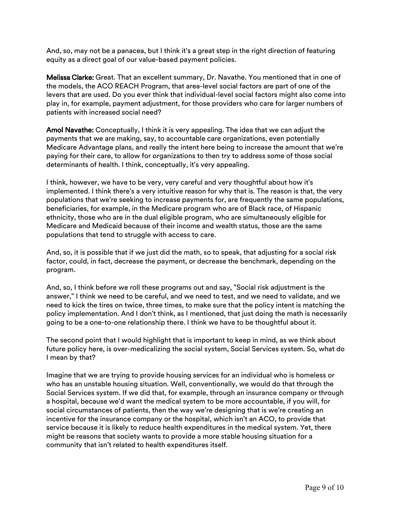And, so, may not be a panacea, but I think it's a great step in the right direction of featuring equity as a direct goal of our value-based payment policies.

Melissa Clarke: Great. That an excellent summary, Dr. Navathe. You mentioned that in one of the models, the [ACO REACH Program](https://innovation.cms.gov/innovation-models/aco-reach), that area-level social factors are part of one of the levers that are used. Do you ever think that individual-level social factors might also come into play in, for example, payment adjustment, for those providers who care for larger numbers of patients with increased social need?

Amol Navathe: Conceptually, I think it is very appealing. The idea that we can adjust the payments that we are making, say, to accountable care organizations, even potentially Medicare Advantage plans, and really the intent here being to increase the amount that we're paying for their care, to allow for organizations to then try to address some of those social determinants of health. I think, conceptually, it's very appealing.

I think, however, we have to be very, very careful and very thoughtful about how it's implemented. I think there's a very intuitive reason for why that is. The reason is that, the very populations that we're seeking to increase payments for, are frequently the same populations, beneficiaries, for example, in the Medicare program who are of Black race, of Hispanic ethnicity, those who are in the dual eligible program, who are simultaneously eligible for Medicare and Medicaid because of their income and wealth status, those are the same populations that tend to struggle with access to care.

And, so, it is possible that if we just did the math, so to speak, that adjusting for a social risk factor, could, in fact, decrease the payment, or decrease the benchmark, depending on the program.

And, so, I think before we roll these programs out and say, "Social risk adjustment is the answer," I think we need to be careful, and we need to test, and we need to validate, and we need to kick the tires on twice, three times, to make sure that the policy intent is matching the policy implementation. And I don't think, as I mentioned, that just doing the math is necessarily going to be a one-to-one relationship there. I think we have to be thoughtful about it.

The second point that I would highlight that is important to keep in mind, as we think about future policy here, is over-medicalizing the social system, Social Services system. So, what do I mean by that?

Imagine that we are trying to provide housing services for an individual who is homeless or who has an unstable housing situation. Well, conventionally, we would do that through the Social Services system. If we did that, for example, through an insurance company or through a hospital, because we'd want the medical system to be more accountable, if you will, for social circumstances of patients, then the way we're designing that is we're creating an incentive for the insurance company or the hospital, which isn't an ACO, to provide that service because it is likely to reduce health expenditures in the medical system. Yet, there might be reasons that society wants to provide a more stable housing situation for a community that isn't related to health expenditures itself.